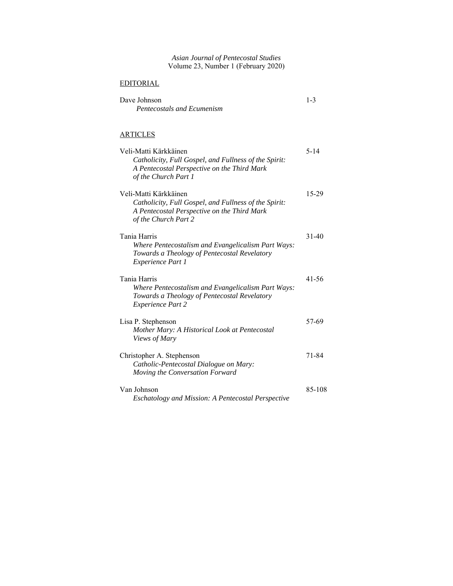| Asian Journal of Pentecostal Studies<br>Volume 23, Number 1 (February 2020)                                                                           |           |
|-------------------------------------------------------------------------------------------------------------------------------------------------------|-----------|
| <b>EDITORIAL</b>                                                                                                                                      |           |
| Dave Johnson<br>Pentecostals and Ecumenism                                                                                                            | $1 - 3$   |
| ARTICLES                                                                                                                                              |           |
| Veli-Matti Kärkkäinen<br>Catholicity, Full Gospel, and Fullness of the Spirit:<br>A Pentecostal Perspective on the Third Mark<br>of the Church Part 1 | $5 - 14$  |
| Veli-Matti Kärkkäinen<br>Catholicity, Full Gospel, and Fullness of the Spirit:<br>A Pentecostal Perspective on the Third Mark<br>of the Church Part 2 | 15-29     |
| Tania Harris<br>Where Pentecostalism and Evangelicalism Part Ways:<br>Towards a Theology of Pentecostal Revelatory<br>Experience Part 1               | $31 - 40$ |
| Tania Harris<br>Where Pentecostalism and Evangelicalism Part Ways:<br>Towards a Theology of Pentecostal Revelatory<br><b>Experience Part 2</b>        | 41-56     |
| Lisa P. Stephenson<br>Mother Mary: A Historical Look at Pentecostal<br>Views of Mary                                                                  | 57-69     |
| Christopher A. Stephenson<br>Catholic-Pentecostal Dialogue on Mary:<br>Moving the Conversation Forward                                                | 71-84     |
| Van Johnson<br>Eschatology and Mission: A Pentecostal Perspective                                                                                     | 85-108    |